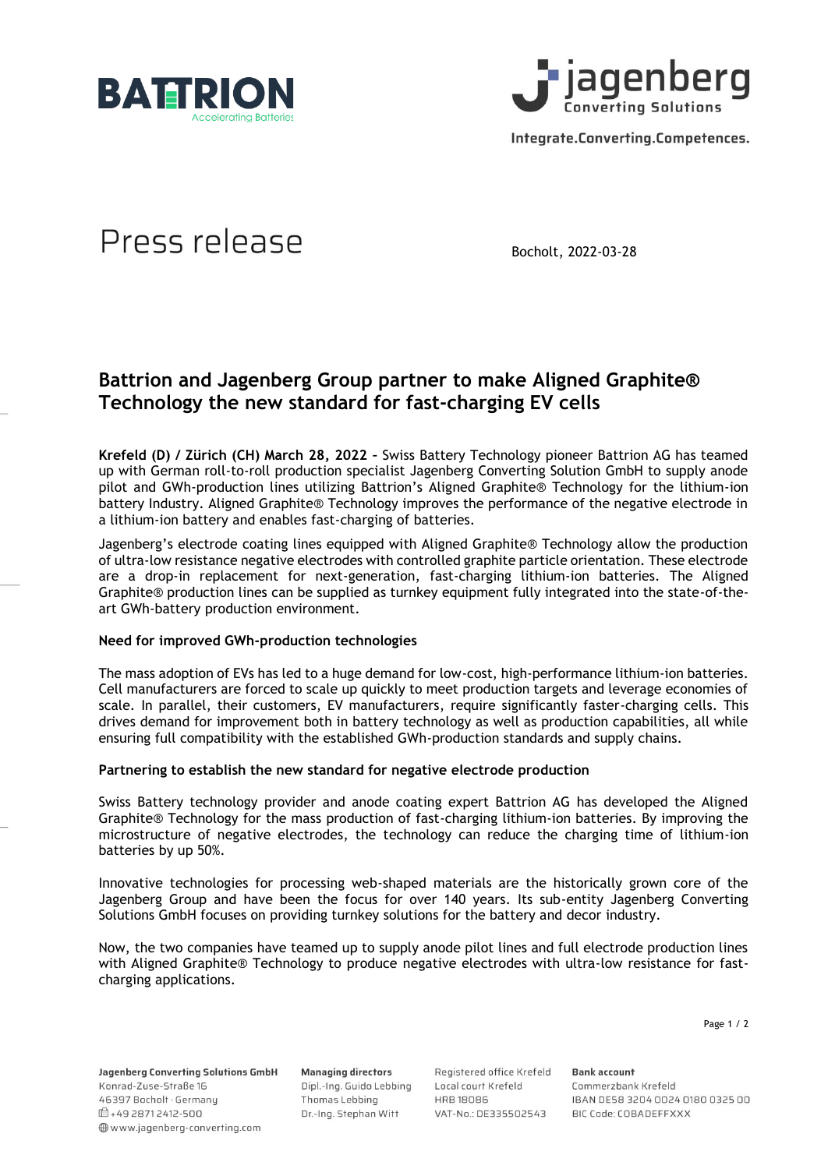



Integrate.Converting.Competences.

# Press release

Bocholt, 2022-03-28

# **Battrion and Jagenberg Group partner to make Aligned Graphite® Technology the new standard for fast-charging EV cells**

**Krefeld (D) / Zürich (CH) March 28, 2022 –** Swiss Battery Technology pioneer Battrion AG has teamed up with German roll-to-roll production specialist Jagenberg Converting Solution GmbH to supply anode pilot and GWh-production lines utilizing Battrion's Aligned Graphite® Technology for the lithium-ion battery Industry. Aligned Graphite® Technology improves the performance of the negative electrode in a lithium-ion battery and enables fast-charging of batteries.

Jagenberg's electrode coating lines equipped with Aligned Graphite® Technology allow the production of ultra-low resistance negative electrodes with controlled graphite particle orientation. These electrode are a drop-in replacement for next-generation, fast-charging lithium-ion batteries. The Aligned Graphite® production lines can be supplied as turnkey equipment fully integrated into the state-of-theart GWh-battery production environment.

#### **Need for improved GWh-production technologies**

The mass adoption of EVs has led to a huge demand for low-cost, high-performance lithium-ion batteries. Cell manufacturers are forced to scale up quickly to meet production targets and leverage economies of scale. In parallel, their customers, EV manufacturers, require significantly faster-charging cells. This drives demand for improvement both in battery technology as well as production capabilities, all while ensuring full compatibility with the established GWh-production standards and supply chains.

#### **Partnering to establish the new standard for negative electrode production**

Swiss Battery technology provider and anode coating expert Battrion AG has developed the Aligned Graphite® Technology for the mass production of fast-charging lithium-ion batteries. By improving the microstructure of negative electrodes, the technology can reduce the charging time of lithium-ion batteries by up 50%.

Innovative technologies for processing web-shaped materials are the historically grown core of the Jagenberg Group and have been the focus for over 140 years. Its sub-entity Jagenberg Converting Solutions GmbH focuses on providing turnkey solutions for the battery and decor industry.

Now, the two companies have teamed up to supply anode pilot lines and full electrode production lines with Aligned Graphite® Technology to produce negative electrodes with ultra-low resistance for fastcharging applications.

Page 1 / 2

Jagenberg Converting Solutions GmbH Konrad-Zuse-Straße 16 46397 Bocholt · Germany □+49 2871 2412-500 www.jagenberg-converting.com

**Managing directors** Dipl.-Ing. Guido Lebbing Thomas Lebbing Dr.-Ing. Stephan Witt

Registered office Krefeld Local court Krefeld **HRB18086** VAT-No.: DE335502543 **Bank account** Commerzbank Krefeld IBAN DE58 3204 0024 0180 0325 00 BIC Code: COBADEFFXXX